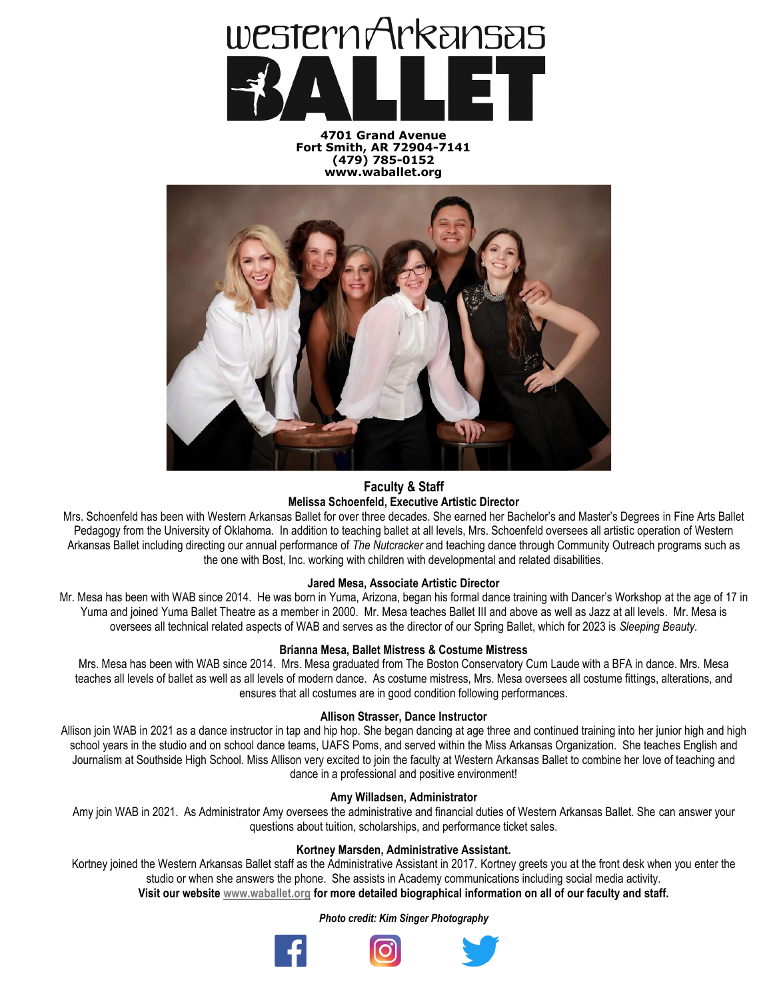

**4701 Grand Avenue Fort Smith, AR 72904-7141 (479) 785-0152 www.waballet.org**



# **Faculty & Staff Melissa Schoenfeld, Executive Artistic Director**

Mrs. Schoenfeld has been with Western Arkansas Ballet for over three decades. She earned her Bachelor's and Master's Degrees in Fine Arts Ballet Pedagogy from the University of Oklahoma. In addition to teaching ballet at all levels, Mrs. Schoenfeld oversees all artistic operation of Western Arkansas Ballet including directing our annual performance of *The Nutcracker* and teaching dance through Community Outreach programs such as the one with Bost, Inc. working with children with developmental and related disabilities.

# **Jared Mesa, Associate Artistic Director**

Mr. Mesa has been with WAB since 2014. He was born in Yuma, Arizona, began his formal dance training with Dancer's Workshop at the age of 17 in Yuma and joined Yuma Ballet Theatre as a member in 2000. Mr. Mesa teaches Ballet III and above as well as Jazz at all levels. Mr. Mesa is oversees all technical related aspects of WAB and serves as the director of our Spring Ballet, which for 2023 is *Sleeping Beauty.*

# **Brianna Mesa, Ballet Mistress & Costume Mistress**

Mrs. Mesa has been with WAB since 2014. Mrs. Mesa graduated from The Boston Conservatory Cum Laude with a BFA in dance. Mrs. Mesa teaches all levels of ballet as well as all levels of modern dance. As costume mistress, Mrs. Mesa oversees all costume fittings, alterations, and ensures that all costumes are in good condition following performances.

# **Allison Strasser, Dance Instructor**

Allison join WAB in 2021 as a dance instructor in tap and hip hop. She began dancing at age three and continued training into her junior high and high school years in the studio and on school dance teams, UAFS Poms, and served within the Miss Arkansas Organization. She teaches English and Journalism at Southside High School. Miss Allison very excited to join the faculty at Western Arkansas Ballet to combine her love of teaching and dance in a professional and positive environment!

# **Amy Willadsen, Administrator**

Amy join WAB in 2021. As Administrator Amy oversees the administrative and financial duties of Western Arkansas Ballet. She can answer your questions about tuition, scholarships, and performance ticket sales.

## **Kortney Marsden, Administrative Assistant.**

Kortney joined the Western Arkansas Ballet staff as the Administrative Assistant in 2017. Kortney greets you at the front desk when you enter the studio or when she answers the phone. She assists in Academy communications including social media activity.

**Visit our website [www.waballet.org](http://www.waballet.org) for more detailed biographical information on all of our faculty and staff.** 

### *Photo credit: Kim Singer Photography*



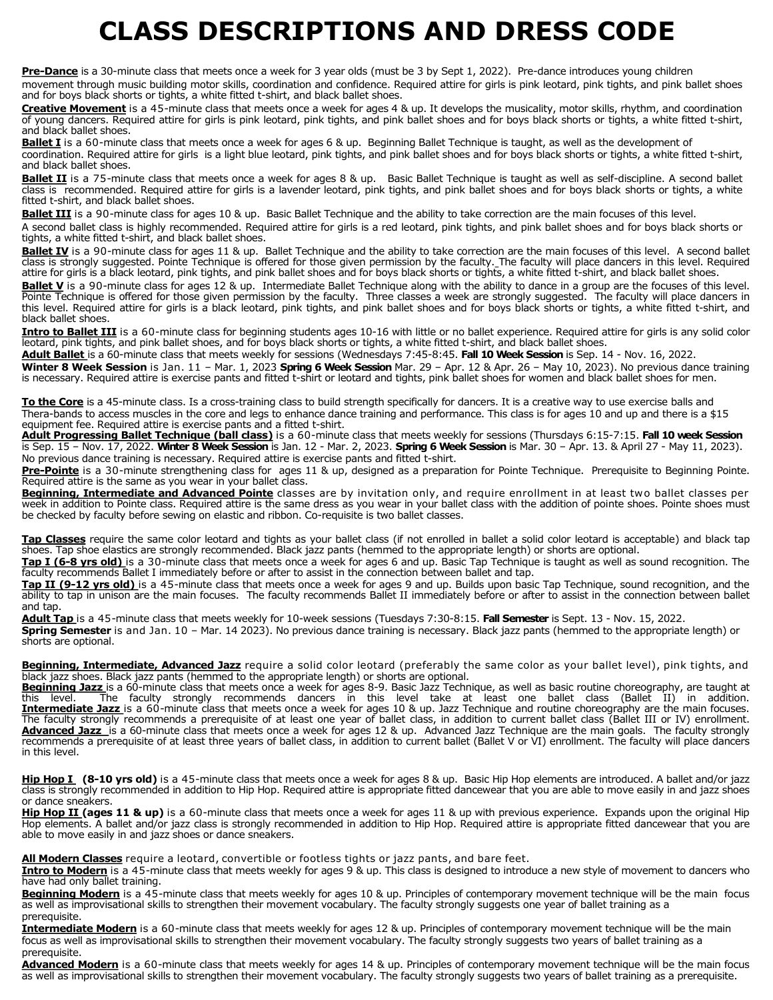# **CLASS DESCRIPTIONS AND DRESS CODE**

**Pre-Dance** is a 30-minute class that meets once a week for 3 year olds (must be 3 by Sept 1, 2022). Pre-dance introduces young children movement through music building motor skills, coordination and confidence. Required attire for girls is pink leotard, pink tights, and pink ballet shoes and for boys black shorts or tights, a white fitted t-shirt, and black ballet shoes.

**Creative Movement** is a 45-minute class that meets once a week for ages 4 & up. It develops the musicality, motor skills, rhythm, and coordination of young dancers. Required attire for girls is pink leotard, pink tights, and pink ballet shoes and for boys black shorts or tights, a white fitted t-shirt, and black ballet shoes.

**Ballet I** is a 60-minute class that meets once a week for ages 6 & up. Beginning Ballet Technique is taught, as well as the development of coordination. Required attire for girls is a light blue leotard, pink tights, and pink ballet shoes and for boys black shorts or tights, a white fitted t-shirt, and black ballet shoes.

Ballet II is a 75-minute class that meets once a week for ages 8 & up. Basic Ballet Technique is taught as well as self-discipline. A second ballet class is recommended. Required attire for girls is a lavender leotard, pink tights, and pink ballet shoes and for boys black shorts or tights, a white fitted t-shirt, and black ballet shoes.

Ballet III is a 90-minute class for ages 10 & up. Basic Ballet Technique and the ability to take correction are the main focuses of this level.

A second ballet class is highly recommended. Required attire for girls is a red leotard, pink tights, and pink ballet shoes and for boys black shorts or tights, a white fitted t-shirt, and black ballet shoes.

Ballet IV is a 90-minute class for ages 11 & up. Ballet Technique and the ability to take correction are the main focuses of this level. A second ballet class is strongly suggested. Pointe Technique is offered for those given permission by the faculty. The faculty will place dancers in this level. Required attire for girls is a black leotard, pink tights, and pink ballet shoes and for boys black shorts or tights, a white fitted t-shirt, and black ballet shoes.

Ballet V is a 90-minute class for ages 12 & up. Intermediate Ballet Technique along with the ability to dance in a group are the focuses of this level. Pointe Technique is offered for those given permission by the faculty. Three classes a week are strongly suggested. The faculty will place dancers in this level. Required attire for girls is a black leotard, pink tights, and pink ballet shoes and for boys black shorts or tights, a white fitted t-shirt, and black ballet shoes.

Intro to Ballet III is a 60-minute class for beginning students ages 10-16 with little or no ballet experience. Required attire for girls is any solid color leotard, pink tights, and pink ballet shoes, and for boys black shorts or tights, a white fitted t-shirt, and black ballet shoes.

**Adult Ballet** is a 60-minute class that meets weekly for sessions (Wednesdays 7:45-8:45. **Fall 10 Week Session** is Sep. 14 - Nov. 16, 2022.

**Winter 8 Week Session** is Jan. 11 – Mar. 1, 2023 **Spring 6 Week Session** Mar. 29 – Apr. 12 & Apr. 26 – May 10, 2023). No previous dance training is necessary. Required attire is exercise pants and fitted t-shirt or leotard and tights, pink ballet shoes for women and black ballet shoes for men.

**To the Core** is a 45-minute class. Is a cross-training class to build strength specifically for dancers. It is a creative way to use exercise balls and Thera-bands to access muscles in the core and legs to enhance dance training and performance. This class is for ages 10 and up and there is a \$15 equipment fee. Required attire is exercise pants and a fitted t-shirt.

**Adult Progressing Ballet Technique (ball class)** is a 60-minute class that meets weekly for sessions (Thursdays 6:15-7:15. **Fall 10 week Session** is Sep. 15 – Nov. 17, 2022. **Winter 8 Week Session** is Jan. 12 - Mar. 2, 2023. **Spring 6 Week Session** is Mar. 30 – Apr. 13. & April 27 - May 11, 2023). No previous dance training is necessary. Required attire is exercise pants and fitted t-shirt.

**Pre-Pointe** is a 30-minute strengthening class for ages 11 & up, designed as a preparation for Pointe Technique. Prerequisite to Beginning Pointe. Required attire is the same as you wear in your ballet class.

**Beginning, Intermediate and Advanced Pointe** classes are by invitation only, and require enrollment in at least two ballet classes per week in addition to Pointe class. Required attire is the same dress as you wear in your ballet class with the addition of pointe shoes. Pointe shoes must be checked by faculty before sewing on elastic and ribbon. Co-requisite is two ballet classes.

**Tap Classes** require the same color leotard and tights as your ballet class (if not enrolled in ballet a solid color leotard is acceptable) and black tap shoes. Tap shoe elastics are strongly recommended. Black jazz pants (hemmed to the appropriate length) or shorts are optional.

**Tap I (6-8 yrs old)** is a 30-minute class that meets once a week for ages 6 and up. Basic Tap Technique is taught as well as sound recognition. The faculty recommends Ballet I immediately before or after to assist in the connection between ballet and tap.

**Tap II (9-12 yrs old)** is a 45-minute class that meets once a week for ages 9 and up. Builds upon basic Tap Technique, sound recognition, and the ability to tap in unison are the main focuses. The faculty recommends Ballet II immediately before or after to assist in the connection between ballet and tap.

**Adult Tap** is a 45-minute class that meets weekly for 10-week sessions (Tuesdays 7:30-8:15. **Fall Semester** is Sept. 13 - Nov. 15, 2022. **Spring Semester** is and Jan. 10 – Mar. 14 2023). No previous dance training is necessary. Black jazz pants (hemmed to the appropriate length) or shorts are optional.

**Beginning, Intermediate, Advanced Jazz** require a solid color leotard (preferably the same color as your ballet level), pink tights, and black jazz shoes. Black jazz pants (hemmed to the appropriate length) or shorts are optional.

Beginning Jazz is a 60-minute class that meets once a week for ages 8-9. Basic Jazz Technique, as well as basic routine choreography, are taught at this level. The faculty strongly recommends dancers in this level take at least one ballet class (Ballet II) in addition. **Intermediate Jazz** is a 60-minute class that meets once a week for ages 10 & up. Jazz Technique and routine choreography are the main focuses. The faculty strongly recommends a prerequisite of at least one year of ballet class, in addition to current ballet class (Ballet III or IV) enrollment. **Advanced Jazz** is a 60-minute class that meets once a week for ages 12 & up. Advanced Jazz Technique are the main goals. The faculty strongly recommends a prerequisite of at least three years of ballet class, in addition to current ballet (Ballet V or VI) enrollment. The faculty will place dancers in this level.

**Hip Hop I (8-10 yrs old)** is a 45-minute class that meets once a week for ages 8 & up. Basic Hip Hop elements are introduced. A ballet and/or jazz class is strongly recommended in addition to Hip Hop. Required attire is appropriate fitted dancewear that you are able to move easily in and jazz shoes or dance sneakers.

Hip Hop II (ages 11 & up) is a 60-minute class that meets once a week for ages 11 & up with previous experience. Expands upon the original Hip Hop elements. A ballet and/or jazz class is strongly recommended in addition to Hip Hop. Required attire is appropriate fitted dancewear that you are able to move easily in and jazz shoes or dance sneakers.

**All Modern Classes** require a leotard, convertible or footless tights or jazz pants, and bare feet.

**Intro to Modern** is a 45-minute class that meets weekly for ages 9 & up. This class is designed to introduce a new style of movement to dancers who have had only ballet training.

**Beginning Modern** is a 45-minute class that meets weekly for ages 10 & up. Principles of contemporary movement technique will be the main focus as well as improvisational skills to strengthen their movement vocabulary. The faculty strongly suggests one year of ballet training as a prerequisite.

**Intermediate Modern** is a 60-minute class that meets weekly for ages 12 & up. Principles of contemporary movement technique will be the main focus as well as improvisational skills to strengthen their movement vocabulary. The faculty strongly suggests two years of ballet training as a prerequisite.

**Advanced Modern** is a 60-minute class that meets weekly for ages 14 & up. Principles of contemporary movement technique will be the main focus as well as improvisational skills to strengthen their movement vocabulary. The faculty strongly suggests two years of ballet training as a prerequisite.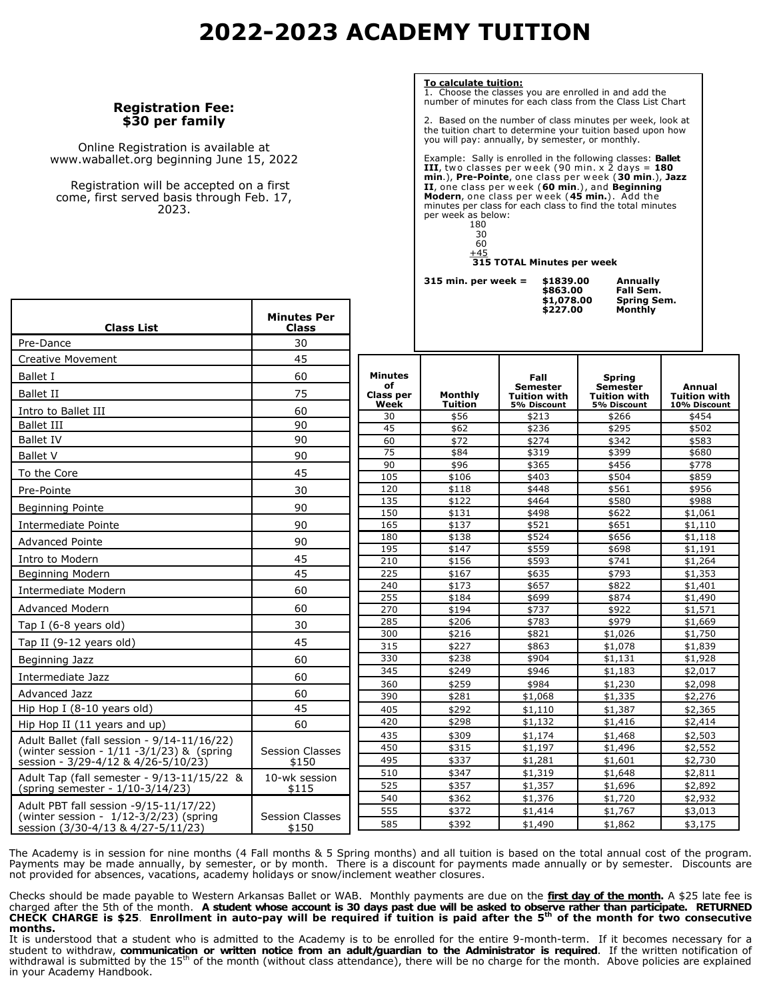# **2022-2023 ACADEMY TUITION**

## **Registration Fee: \$30 per family**

Online Registration is available at www.waballet.org beginning June 15, 2022

 Registration will be accepted on a first come, first served basis through Feb. 17, 2023.

**Class List**

**To calculate tuition:**

Choose the classes you are enrolled in and add the number of minutes for each class from the Class List Chart

2. Based on the number of class minutes per week, look at the tuition chart to determine your tuition based upon how you will pay: annually, by semester, or monthly.

Example: Sally is enrolled in the following classes: **Ballet**<br>III, two classes per week (90 min. x 2 days = 180<br>**min**.), Pre-Pointe, one class per week (30 min.), Jazz **II**, one class per w eek (**60 min**.) , and **Beginning Modern**, one class per w eek (**45 min.**) . Add the minutes per class for each class to find the total minutes per week as below:

| 80 |
|----|
| 30 |
|    |

 30 60  $+45$ 

**315 TOTAL Minutes per week**

\$1839.00<br>\$863.00<br>\$1,078.00  **\$227.00 Monthly**

**315 min. per week = \$1839.00 Annually Spring Sem.**<br>Monthly

| Pre-Dance                                     | 30                     |                        |                        |                                        |                                        |                                |
|-----------------------------------------------|------------------------|------------------------|------------------------|----------------------------------------|----------------------------------------|--------------------------------|
| <b>Creative Movement</b>                      | 45                     |                        |                        |                                        |                                        |                                |
| Ballet I                                      | 60                     | <b>Minutes</b>         |                        | Fall                                   | <b>Spring</b>                          |                                |
| <b>Ballet II</b>                              | 75                     | of<br><b>Class per</b> | Monthly                | <b>Semester</b><br><b>Tuition with</b> | <b>Semester</b><br><b>Tuition with</b> | Annual<br><b>Tuition with</b>  |
| Intro to Ballet III                           | 60                     | Week<br>30             | <b>Tuition</b><br>\$56 | 5% Discount<br>\$213                   | 5% Discount<br>\$266                   | 10% Discount<br>\$454          |
| <b>Ballet III</b>                             | 90                     | 45                     | \$62                   | \$236                                  | \$295                                  | \$502                          |
| <b>Ballet IV</b>                              | 90                     | 60                     | \$72                   | \$274                                  | \$342                                  | \$583                          |
| <b>Ballet V</b>                               | 90                     | $\overline{75}$        | \$84                   | \$319                                  | \$399                                  | \$680                          |
| To the Core                                   | 45                     | 90                     | \$96                   | \$365                                  | \$456                                  | \$778                          |
|                                               |                        | 105                    | \$106                  | \$403                                  | \$504                                  | \$859                          |
| Pre-Pointe                                    | 30                     | 120                    | \$118                  | \$448                                  | \$561                                  | \$956                          |
| <b>Beginning Pointe</b>                       | 90                     | 135                    | \$122                  | \$464                                  | \$580                                  | \$988                          |
| Intermediate Pointe                           | 90                     | 150<br>165             | \$131<br>\$137         | \$498<br>\$521                         | \$622<br>\$651                         | \$1,061<br>$\overline{51,110}$ |
|                                               |                        | 180                    | \$138                  | \$524                                  | \$656                                  | \$1,118                        |
| <b>Advanced Pointe</b>                        | 90                     | 195                    | \$147                  | \$559                                  | \$698                                  | \$1,191                        |
| Intro to Modern                               | 45                     | 210                    | \$156                  | \$593                                  | \$741                                  | \$1,264                        |
| Beginning Modern                              | 45                     | 225                    | \$167                  | \$635                                  | \$793                                  | \$1,353                        |
|                                               |                        | 240                    | \$173                  | \$657                                  | \$822                                  | \$1,401                        |
| Intermediate Modern                           | 60                     | 255                    | \$184                  | \$699                                  | \$874                                  | \$1,490                        |
| <b>Advanced Modern</b>                        | 60                     | 270                    | \$194                  | \$737                                  | \$922                                  | \$1,571                        |
| Tap I (6-8 years old)                         | 30                     | 285                    | \$206                  | \$783                                  | \$979                                  | \$1,669                        |
|                                               |                        | 300                    | \$216                  | \$821                                  | \$1,026                                | \$1,750                        |
| Tap II (9-12 years old)                       | 45                     | 315                    | \$227                  | \$863                                  | \$1,078                                | \$1,839                        |
| Beginning Jazz                                | 60                     | 330                    | \$238                  | \$904                                  | \$1,131                                | \$1,928                        |
| Intermediate Jazz                             | 60                     | 345                    | \$249                  | \$946                                  | \$1,183                                | \$2,017                        |
| <b>Advanced Jazz</b>                          | 60                     | 360                    | \$259                  | \$984                                  | \$1,230                                | \$2,098                        |
|                                               |                        | 390                    | \$281                  | \$1,068                                | \$1,335                                | \$2,276                        |
| Hip Hop I (8-10 years old)                    | 45                     | 405                    | \$292                  | \$1,110                                | \$1,387                                | \$2,365                        |
| Hip Hop II (11 years and up)                  | 60                     | 420                    | \$298                  | \$1,132                                | \$1,416                                | \$2,414                        |
| Adult Ballet (fall session - 9/14-11/16/22)   |                        | 435                    | \$309                  | \$1,174                                | \$1,468                                | \$2,503                        |
| (winter session - $1/11 - 3/1/23$ ) & (spring | <b>Session Classes</b> | 450                    | \$315                  | \$1,197                                | \$1,496                                | \$2,552                        |
| session - 3/29-4/12 & 4/26-5/10/23)           | \$150                  | 495                    | \$337                  | \$1,281                                | \$1,601                                | \$2,730                        |
| Adult Tap (fall semester - 9/13-11/15/22 &    | 10-wk session          | 510                    | \$347                  | \$1,319                                | \$1,648                                | \$2,811                        |
| (spring semester - 1/10-3/14/23)              | \$115                  | 525<br>540             | \$357<br>\$362         | \$1,357<br>\$1,376                     | \$1,696<br>\$1,720                     | \$2,892<br>\$2,932             |
| Adult PBT fall session -9/15-11/17/22)        |                        | 555                    | \$372                  | \$1,414                                | \$1,767                                | \$3,013                        |
| (winter session - $1/12-3/2/23$ ) (spring     | <b>Session Classes</b> | 585                    | \$392                  |                                        |                                        |                                |
| session (3/30-4/13 & 4/27-5/11/23)            | \$150                  |                        |                        | \$1,490                                | \$1,862                                | \$3,175                        |

**Minutes Per Class**

The Academy is in session for nine months (4 Fall months & 5 Spring months) and all tuition is based on the total annual cost of the program. Payments may be made annually, by semester, or by month. There is a discount for payments made annually or by semester. Discounts are not provided for absences, vacations, academy holidays or snow/inclement weather closures.

Checks should be made payable to Western Arkansas Ballet or WAB. Monthly payments are due on the **first day of the month.** A \$25 late fee is charged after the 5th of the month. A student whose account is 30 days past due will be asked to observe rather than participate. RETURNED<br>CHECK CHARGE is \$25. Enrollment in auto-pay will be required if tuition is paid aft **months.**

It is understood that a student who is admitted to the Academy is to be enrolled for the entire 9-month-term. If it becomes necessary for a student to withdraw, **communication or written notice from an adult/guardian to the Administrator is required**. If the written notification of withdrawal is submitted by the 15<sup>th</sup> of the month (without class attendance), there will be no charge for the month. Above policies are explained in your Academy Handbook.